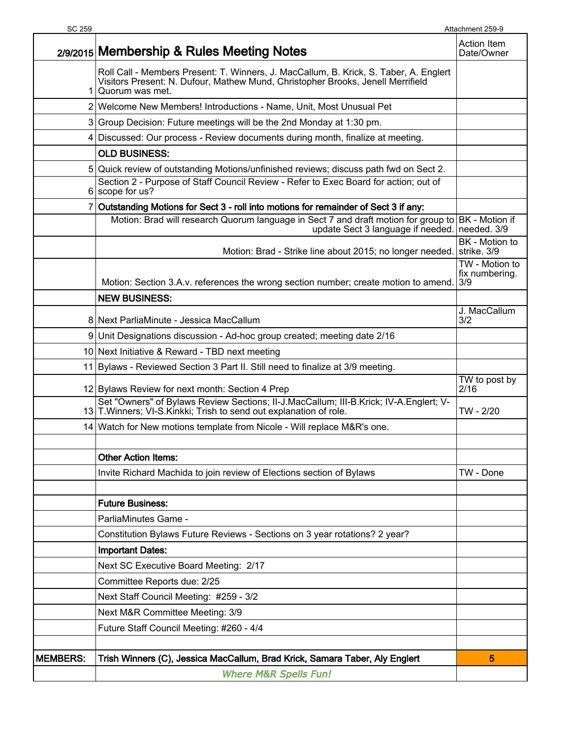| SC 259          |                                                                                                                                                                                             | Attachment 259-9                        |
|-----------------|---------------------------------------------------------------------------------------------------------------------------------------------------------------------------------------------|-----------------------------------------|
|                 | 2/9/2015 Membership & Rules Meeting Notes                                                                                                                                                   | <b>Action Item</b><br>Date/Owner        |
| 1.              | Roll Call - Members Present: T. Winners, J. MacCallum, B. Krick, S. Taber, A. Englert<br>Visitors Present: N. Dufour, Mathew Mund, Christopher Brooks, Jenell Merrifield<br>Quorum was met. |                                         |
|                 | 2 Welcome New Members! Introductions - Name, Unit, Most Unusual Pet                                                                                                                         |                                         |
|                 | 3 Group Decision: Future meetings will be the 2nd Monday at 1:30 pm.                                                                                                                        |                                         |
|                 | 4 Discussed: Our process - Review documents during month, finalize at meeting.                                                                                                              |                                         |
|                 | <b>OLD BUSINESS:</b>                                                                                                                                                                        |                                         |
|                 | 5 Quick review of outstanding Motions/unfinished reviews; discuss path fwd on Sect 2.                                                                                                       |                                         |
|                 | Section 2 - Purpose of Staff Council Review - Refer to Exec Board for action; out of<br>6 scope for us?                                                                                     |                                         |
|                 | 7 Outstanding Motions for Sect 3 - roll into motions for remainder of Sect 3 if any:                                                                                                        |                                         |
|                 | Motion: Brad will research Quorum language in Sect 7 and draft motion for group to BK - Motion if<br>update Sect 3 language if needed.   needed. 3/9                                        |                                         |
|                 | Motion: Brad - Strike line about 2015; no longer needed.                                                                                                                                    | BK - Motion to<br>strike. 3/9           |
|                 | Motion: Section 3.A.v. references the wrong section number; create motion to amend.                                                                                                         | TW - Motion to<br>fix numbering.<br>3/9 |
|                 | <b>NEW BUSINESS:</b>                                                                                                                                                                        |                                         |
|                 | 8 Next ParliaMinute - Jessica MacCallum                                                                                                                                                     | J. MacCallum<br>3/2                     |
|                 | 9 Unit Designations discussion - Ad-hoc group created; meeting date 2/16                                                                                                                    |                                         |
|                 | 10 Next Initiative & Reward - TBD next meeting                                                                                                                                              |                                         |
|                 | 11 Bylaws - Reviewed Section 3 Part II. Still need to finalize at 3/9 meeting.                                                                                                              |                                         |
|                 | 12 Bylaws Review for next month: Section 4 Prep                                                                                                                                             | TW to post by<br>2/16                   |
|                 | Set "Owners" of Bylaws Review Sections; II-J.MacCallum; III-B.Krick; IV-A.Englert; V-<br>13 T. Winners; VI-S. Kinkki; Trish to send out explanation of role.                                | TW - 2/20                               |
|                 | 14 Watch for New motions template from Nicole - Will replace M&R's one.                                                                                                                     |                                         |
|                 | <b>Other Action Items:</b>                                                                                                                                                                  |                                         |
|                 | Invite Richard Machida to join review of Elections section of Bylaws                                                                                                                        | TW - Done                               |
|                 |                                                                                                                                                                                             |                                         |
|                 | <b>Future Business:</b>                                                                                                                                                                     |                                         |
|                 | ParliaMinutes Game -                                                                                                                                                                        |                                         |
|                 | Constitution Bylaws Future Reviews - Sections on 3 year rotations? 2 year?                                                                                                                  |                                         |
|                 | <b>Important Dates:</b>                                                                                                                                                                     |                                         |
|                 | Next SC Executive Board Meeting: 2/17                                                                                                                                                       |                                         |
|                 | Committee Reports due: 2/25                                                                                                                                                                 |                                         |
|                 | Next Staff Council Meeting: #259 - 3/2                                                                                                                                                      |                                         |
|                 | Next M&R Committee Meeting: 3/9                                                                                                                                                             |                                         |
|                 | Future Staff Council Meeting: #260 - 4/4                                                                                                                                                    |                                         |
|                 |                                                                                                                                                                                             |                                         |
| <b>MEMBERS:</b> | Trish Winners (C), Jessica MacCallum, Brad Krick, Samara Taber, Aly Englert                                                                                                                 | 5                                       |
|                 | <b>Where M&amp;R Spells Fun!</b>                                                                                                                                                            |                                         |